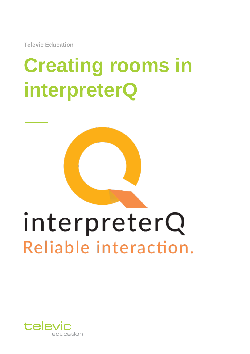**Televic Education**

# **Creating rooms in interpreterQ**



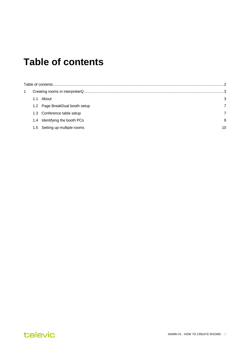### <span id="page-1-0"></span>**Table of contents**

|  | About                          | 3  |  |  |  |  |
|--|--------------------------------|----|--|--|--|--|
|  | 1.2 Page BreakDual booth setup |    |  |  |  |  |
|  | 1.3 Conference table setup     |    |  |  |  |  |
|  | 1.4 Identifying the booth PCs  | 9  |  |  |  |  |
|  | 1.5 Setting up multiple rooms  | 10 |  |  |  |  |

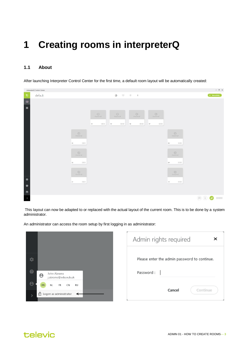## <span id="page-2-0"></span>**1 Creating rooms in interpreterQ**

#### <span id="page-2-1"></span>**1.1 About**

After launching Interpreter Control Center for the first time, a default room layout will be automatically created:

|                                                                                                                                                                                                                                                             | interpreterQ Control Center |                                                                                                 |                              |                                              |                                                                |                                   |                                                                                                               |                                                                                                                                                                          | $-$ 0 $\times$ |
|-------------------------------------------------------------------------------------------------------------------------------------------------------------------------------------------------------------------------------------------------------------|-----------------------------|-------------------------------------------------------------------------------------------------|------------------------------|----------------------------------------------|----------------------------------------------------------------|-----------------------------------|---------------------------------------------------------------------------------------------------------------|--------------------------------------------------------------------------------------------------------------------------------------------------------------------------|----------------|
| $\mathbf{t}$                                                                                                                                                                                                                                                | default                     |                                                                                                 |                              | $\circ$<br>画                                 | $\begin{array}{ccc} \circ & \circ & \circ \bullet \end{array}$ |                                   |                                                                                                               | $+$ New activity                                                                                                                                                         |                |
| $\overline{\blacksquare}$<br>$\blacksquare$<br>$\mathcal{L}^{\text{max}}_{\text{max}}$ and $\mathcal{L}^{\text{max}}_{\text{max}}$ and $\mathcal{L}^{\text{max}}_{\text{max}}$<br>$\begin{array}{c c c c c} \hline \bullet & \bullet & \bullet \end{array}$ |                             | $\cup$<br>(Vermittel)<br>11111<br>03<br>$\cup$<br>Powered off<br>mm<br>$02\,$<br>U<br>Premidal! | U<br>Downston<br>11111<br>04 | U<br><b>Symmetric</b><br>$_{\rm HIII}$<br>05 | $\cup$<br>Printed off<br>11111<br>$06$                         | U<br>Permanent off<br>11111<br>07 | U<br><b>UPServived AV</b><br>11111<br>$^{66}$<br>$\cup$<br>Powered off<br>mm<br>$^{09}$<br>U<br>Permitted AID |                                                                                                                                                                          |                |
|                                                                                                                                                                                                                                                             |                             | ши<br>01                                                                                        |                              |                                              |                                                                |                                   | 11111<br>$_{70}$                                                                                              |                                                                                                                                                                          |                |
|                                                                                                                                                                                                                                                             |                             |                                                                                                 |                              |                                              |                                                                |                                   |                                                                                                               |                                                                                                                                                                          |                |
|                                                                                                                                                                                                                                                             |                             |                                                                                                 |                              |                                              |                                                                |                                   |                                                                                                               |                                                                                                                                                                          |                |
| $\rightarrow$                                                                                                                                                                                                                                               |                             |                                                                                                 |                              |                                              |                                                                |                                   |                                                                                                               | $\textcircled{\scriptsize{12.1}}\hspace{1.0pt}\textcircled{\scriptsize{12.1}}\hspace{1.0pt}\textcircled{\scriptsize{12.1}}\hspace{1.0pt}\textcircled{\scriptsize{12.1}}$ |                |

This layout can now be adapted to or replaced with the actual layout of the current room. This is to be done by a system administrator.

An administrator can access the room setup by first logging in as administrator:

|                                                             | Admin rights required<br>×                   |
|-------------------------------------------------------------|----------------------------------------------|
|                                                             | Please enter the admin password to continue. |
| John Abrams<br>$\boldsymbol{\Theta}$<br>j.abrams@edu.vub.uk | Password:                                    |
| <b>NL</b><br>FR<br>CN<br><b>RU</b><br>EN                    | Continue<br>Cancel                           |
| ြ Logon as administrator                                    |                                              |



 $\ddot{\alpha}$ 

 $\bullet$ 

 $\Theta$ 

Ń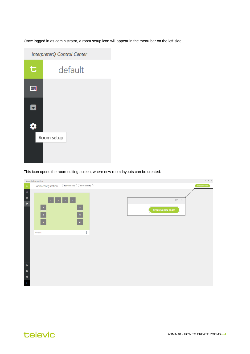Once logged in as administrator, a room setup icon will appear in the menu bar on the left side:



This icon opens the room editing screen, where new room layouts can be created:

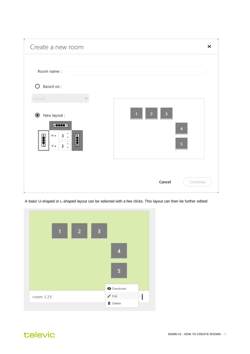

A basic U-shaped or L-shaped layout can be selected with a few clicks. This layout can then be further edited:



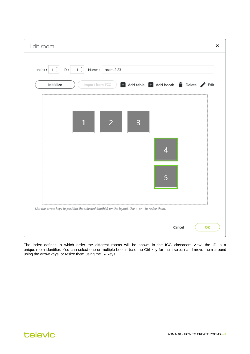| Index : $\begin{vmatrix} 1 & \hat{x} \end{vmatrix}$ | $1 \frac{1}{x}$<br>ID:                                                                         | Name: room 3.23 |   |                                       |  |
|-----------------------------------------------------|------------------------------------------------------------------------------------------------|-----------------|---|---------------------------------------|--|
| Initialize                                          | Import from TCC                                                                                |                 |   | + Add table + Add booth Delete / Edit |  |
|                                                     |                                                                                                | $\overline{2}$  | 3 |                                       |  |
|                                                     |                                                                                                |                 |   | 4                                     |  |
|                                                     |                                                                                                |                 |   | 5                                     |  |
|                                                     | Use the arrow keys to position the selected booth(s) on the layout. Use + or - to resize them. |                 |   |                                       |  |

The index defines in which order the different rooms will be shown in the ICC classroom view, the ID is a unique room identifier. You can select one or multiple booths (use the Ctrl-key for multi-select) and move them around using the arrow keys, or resize them using the +/- keys.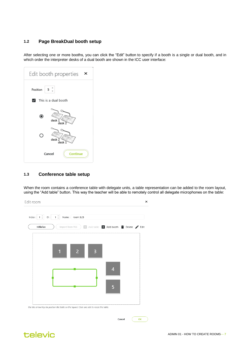#### <span id="page-6-0"></span>**1.2 Page BreakDual booth setup**

After selecting one or more booths, you can click the "Edit" button to specify if a booth is a single or dual booth, and in which order the interpreter desks of a dual booth are shown in the ICC user interface:

| Edit booth properties<br>×                 |
|--------------------------------------------|
| 5<br>Position                              |
| $\blacktriangleright$ This is a dual booth |
| C<br>desk 1<br>desk 2                      |
| L.<br>desk <sub>2</sub><br>desk 1          |
| <b>Continue</b><br>Cancel                  |

#### <span id="page-6-1"></span>**1.3 Conference table setup**

When the room contains a conference table with delegate units, a table representation can be added to the room layout, using the "Add table" button. This way the teacher will be able to remotely control all delegate microphones on the table:



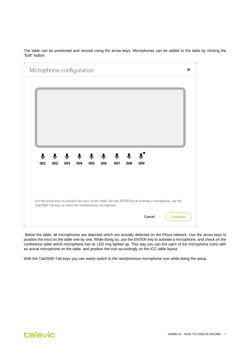The table can be positioned and resized using the arrow keys. Microphones can be added to the table by clicking the "Edit" button:

| Microphone configuration |          |          |                            |     |                                                            |                            |                           |        |                                                                                                           |                 |
|--------------------------|----------|----------|----------------------------|-----|------------------------------------------------------------|----------------------------|---------------------------|--------|-----------------------------------------------------------------------------------------------------------|-----------------|
|                          |          |          |                            |     |                                                            |                            |                           |        |                                                                                                           |                 |
|                          |          |          |                            |     |                                                            |                            |                           |        |                                                                                                           |                 |
|                          |          |          |                            |     |                                                            |                            |                           |        |                                                                                                           |                 |
|                          |          |          |                            |     |                                                            |                            |                           |        |                                                                                                           |                 |
|                          |          |          |                            |     |                                                            |                            |                           |        |                                                                                                           |                 |
| 001                      | Ψ<br>002 | ◡<br>003 | $\ddot{\mathbf{v}}$<br>004 | 005 | $\mathbf{\hat{v}}$<br>006                                  | $\ddot{\mathbf{v}}$<br>007 | $\mathbf{\varphi}$<br>008 | 009    |                                                                                                           |                 |
|                          |          |          |                            |     |                                                            |                            |                           |        |                                                                                                           |                 |
|                          |          |          |                            |     |                                                            |                            |                           |        |                                                                                                           |                 |
|                          |          |          |                            |     |                                                            |                            |                           |        | Use the arrow keys to position the mics on the table. Use the ENTER key to activate a microphone, use the |                 |
|                          |          |          |                            |     | Tab/Shift-Tab keys to select the next/previous microphone. |                            |                           |        |                                                                                                           |                 |
|                          |          |          |                            |     |                                                            |                            |                           | Cancel |                                                                                                           | <b>Continue</b> |

Below the table, all microphones are depicted which are actually detected on the Plixus network. Use the arrow keys to position the mics on the table one by one. While doing so, use the ENTER key to activate a microphone, and check on the conference table which microphone has its LED ring lighted up. This way you can link each of the microphone icons with an actual microphone on the table, and position the icon accordingly on the ICC table layout.

With the Tab/Shift-Tab keys you can easily switch to the next/previous microphone icon while doing the setup.

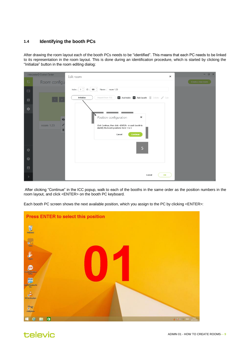#### <span id="page-8-0"></span>**1.4 Identifying the booth PCs**

After drawing the room layout each of the booth PCs needs to be "identified". This means that each PC needs to be linked to its representation in the room layout. This is done during an identification procedure, which is started by clicking the "Initialize" button in the room editing dialog:

| interpreterQ Control Center |              | Edit room<br>$\times$                                                                                                                                                | O X<br>н.         |
|-----------------------------|--------------|----------------------------------------------------------------------------------------------------------------------------------------------------------------------|-------------------|
| $\mathbf{t}$                | Room configu |                                                                                                                                                                      | Create a new room |
| $\Box$                      |              | Index : $\begin{array}{ c c c c c }\n\hline\n1 & \uparrow & \quad \text{ID} : & \text{101} & \uparrow & \text{Name :} & \text{room 1.23}\n\hline\n\end{array}$       |                   |
| $\blacksquare$              |              | + Add table + Add booth Delete / Edit<br>Initialize<br>Import from TCC                                                                                               |                   |
| $\bullet$                   |              |                                                                                                                                                                      |                   |
|                             | room 1.23    | N<br>Position configuration<br>×<br>Click Continue, then click <enter> in each booth to<br/>identify the booth positions from 1 to 5<br/>Continue<br/>Cancel</enter> |                   |
| $\bullet$                   |              | 5                                                                                                                                                                    |                   |
| $\bullet$                   |              |                                                                                                                                                                      |                   |
| $\blacksquare$              |              |                                                                                                                                                                      |                   |
|                             |              | OK<br>Cancel                                                                                                                                                         |                   |

After clicking "Continue" in the ICC popup, walk to each of the booths in the same order as the position numbers in the room layout, and click <ENTER> on the booth PC keyboard.

Each booth PC screen shows the next available position, which you assign to the PC by clicking <ENTER>:



televic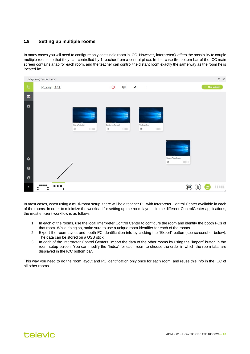#### <span id="page-9-0"></span>**1.5 Setting up multiple rooms**

In many cases you will need to configure only one single room in ICC. However, interpreterQ offers the possibility to couple multiple rooms so that they can controlled by 1 teacher from a central place. In that case the bottom bar of the ICC main screen contains a tab for each room, and the teacher can control the distant room exactly the same way as the room he is located in:



In most cases, when using a multi-room setup, there will be a teacher PC with Interpreter Control Center available in each of the rooms. In order to minimize the workload for setting up the room layouts in the different ControlCenter applications, the most efficient workflow is as follows:

- 1. In each of the rooms, use the local Interpreter Control Center to configure the room and identify the booth PCs of that room. While doing so, make sure to use a unique room identifier for each of the rooms.
- 2. Export the room layout and booth PC identification info by clicking the "Export" button (see screenshot below). The data can be stored on a USB stick.
- 3. In each of the Interpreter Control Centers, import the data of the other rooms by using the "Import" button in the room setup screen. You can modify the "Index" for each room to choose the order in which the room tabs are displayed in the ICC bottom bar.

This way you need to do the room layout and PC identification only once for each room, and reuse this info in the ICC of all other rooms.